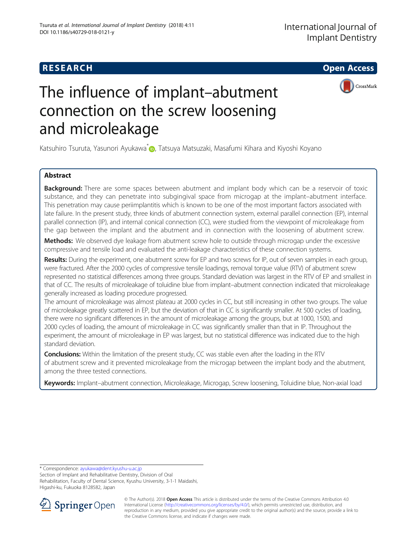# **RESEARCH CHILD CONTROL** CONTROL CONTROL CONTROL CONTROL CONTROL CONTROL CONTROL CONTROL CONTROL CONTROL CONTROL



# The influence of implant–abutment connection on the screw loosening and microleakage

Katsuhiro Tsuruta, Yasunori Ayukawa<sup>\*</sup> , Tatsuya Matsuzaki, Masafumi Kihara and Kiyoshi Koyano

# Abstract

**Background:** There are some spaces between abutment and implant body which can be a reservoir of toxic substance, and they can penetrate into subgingival space from microgap at the implant–abutment interface. This penetration may cause periimplantitis which is known to be one of the most important factors associated with late failure. In the present study, three kinds of abutment connection system, external parallel connection (EP), internal parallel connection (IP), and internal conical connection (CC), were studied from the viewpoint of microleakage from the gap between the implant and the abutment and in connection with the loosening of abutment screw.

Methods: We observed dye leakage from abutment screw hole to outside through microgap under the excessive compressive and tensile load and evaluated the anti-leakage characteristics of these connection systems.

Results: During the experiment, one abutment screw for EP and two screws for IP, out of seven samples in each group, were fractured. After the 2000 cycles of compressive tensile loadings, removal torque value (RTV) of abutment screw represented no statistical differences among three groups. Standard deviation was largest in the RTV of EP and smallest in that of CC. The results of microleakage of toluidine blue from implant–abutment connection indicated that microleakage generally increased as loading procedure progressed.

The amount of microleakage was almost plateau at 2000 cycles in CC, but still increasing in other two groups. The value of microleakage greatly scattered in EP, but the deviation of that in CC is significantly smaller. At 500 cycles of loading, there were no significant differences in the amount of microleakage among the groups, but at 1000, 1500, and 2000 cycles of loading, the amount of microleakage in CC was significantly smaller than that in IP. Throughout the experiment, the amount of microleakage in EP was largest, but no statistical difference was indicated due to the high standard deviation.

**Conclusions:** Within the limitation of the present study, CC was stable even after the loading in the RTV of abutment screw and it prevented microleakage from the microgap between the implant body and the abutment, among the three tested connections.

Keywords: Implant-abutment connection, Microleakage, Microgap, Screw loosening, Toluidine blue, Non-axial load

\* Correspondence: [ayukawa@dent.kyushu-u.ac.jp](mailto:ayukawa@dent.kyushu-u.ac.jp)

Section of Implant and Rehabilitative Dentistry, Division of Oral Rehabilitation, Faculty of Dental Science, Kyushu University, 3-1-1 Maidashi, Higashi-ku, Fukuoka 8128582, Japan



© The Author(s). 2018 Open Access This article is distributed under the terms of the Creative Commons Attribution 4.0 International License ([http://creativecommons.org/licenses/by/4.0/\)](http://creativecommons.org/licenses/by/4.0/), which permits unrestricted use, distribution, and reproduction in any medium, provided you give appropriate credit to the original author(s) and the source, provide a link to the Creative Commons license, and indicate if changes were made.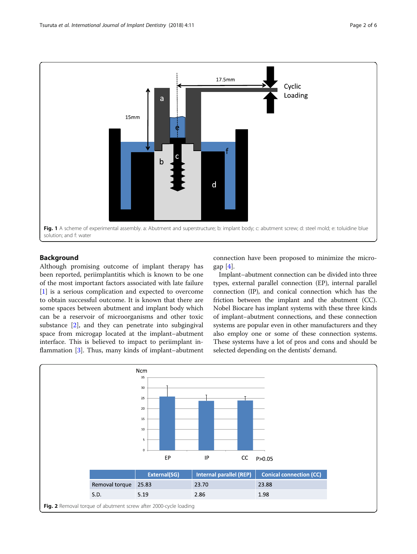<span id="page-1-0"></span>

#### Background

Although promising outcome of implant therapy has been reported, periimplantitis which is known to be one of the most important factors associated with late failure [[1\]](#page-5-0) is a serious complication and expected to overcome to obtain successful outcome. It is known that there are some spaces between abutment and implant body which can be a reservoir of microorganisms and other toxic substance [\[2](#page-5-0)], and they can penetrate into subgingival space from microgap located at the implant–abutment interface. This is believed to impact to periimplant inflammation [\[3](#page-5-0)]. Thus, many kinds of implant–abutment

connection have been proposed to minimize the microgap  $[4]$  $[4]$ .

Implant–abutment connection can be divided into three types, external parallel connection (EP), internal parallel connection (IP), and conical connection which has the friction between the implant and the abutment (CC). Nobel Biocare has implant systems with these three kinds of implant–abutment connections, and these connection systems are popular even in other manufacturers and they also employ one or some of these connection systems. These systems have a lot of pros and cons and should be selected depending on the dentists' demand.

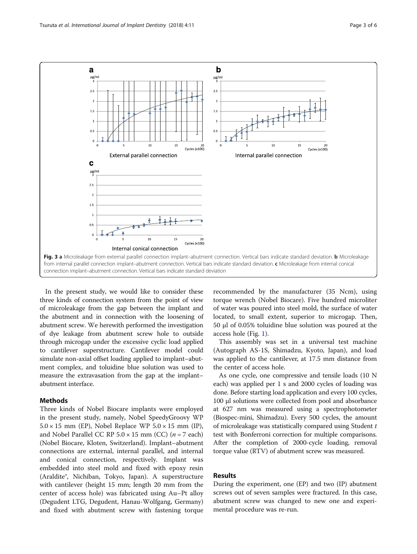<span id="page-2-0"></span>

In the present study, we would like to consider these three kinds of connection system from the point of view of microleakage from the gap between the implant and the abutment and in connection with the loosening of abutment screw. We herewith performed the investigation of dye leakage from abutment screw hole to outside through microgap under the excessive cyclic load applied to cantilever superstructure. Cantilever model could simulate non-axial offset loading applied to implant–abutment complex, and toluidine blue solution was used to measure the extravasation from the gap at the implant– abutment interface.

#### Methods

Three kinds of Nobel Biocare implants were employed in the present study, namely, Nobel SpeedyGroovy WP  $5.0 \times 15$  mm (EP), Nobel Replace WP  $5.0 \times 15$  mm (IP), and Nobel Parallel CC RP  $5.0 \times 15$  mm (CC) ( $n = 7$  each) (Nobel Biocare, Kloten, Switzerland). Implant–abutment connections are external, internal parallel, and internal and conical connection, respectively. Implant was embedded into steel mold and fixed with epoxy resin (Araldite®, Nichiban, Tokyo, Japan). A superstructure with cantilever (height 15 mm; length 20 mm from the center of access hole) was fabricated using Au–Pt alloy (Degudent LTG, Degudent, Hanau-Wolfgang, Germany) and fixed with abutment screw with fastening torque

recommended by the manufacturer (35 Ncm), using torque wrench (Nobel Biocare). Five hundred microliter of water was poured into steel mold, the surface of water located, to small extent, superior to microgap. Then, 50 μl of 0.05% toluidine blue solution was poured at the access hole (Fig. [1\)](#page-1-0).

This assembly was set in a universal test machine (Autograph AS-1S, Shimadzu, Kyoto, Japan), and load was applied to the cantilever, at 17.5 mm distance from the center of access hole.

As one cycle, one compressive and tensile loads (10 N each) was applied per 1 s and 2000 cycles of loading was done. Before starting load application and every 100 cycles, 100 μl solutions were collected from pool and absorbance at 627 nm was measured using a spectrophotometer (Biospec-mini, Shimadzu). Every 500 cycles, the amount of microleakage was statistically compared using Student t test with Bonferroni correction for multiple comparisons. After the completion of 2000-cycle loading, removal torque value (RTV) of abutment screw was measured.

#### Results

During the experiment, one (EP) and two (IP) abutment screws out of seven samples were fractured. In this case, abutment screw was changed to new one and experimental procedure was re-run.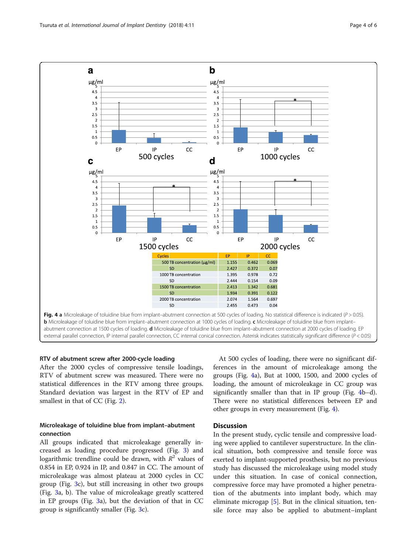

#### RTV of abutment screw after 2000-cycle loading

After the 2000 cycles of compressive tensile loadings, RTV of abutment screw was measured. There were no statistical differences in the RTV among three groups. Standard deviation was largest in the RTV of EP and smallest in that of CC (Fig. [2](#page-1-0)).

### Microleakage of toluidine blue from implant–abutment connection

All groups indicated that microleakage generally increased as loading procedure progressed (Fig. [3\)](#page-2-0) and logarithmic trendline could be drawn, with  $R^2$  values of 0.854 in EP, 0.924 in IP, and 0.847 in CC. The amount of microleakage was almost plateau at 2000 cycles in CC group (Fig. [3](#page-2-0)c), but still increasing in other two groups (Fig. [3](#page-2-0)a, b). The value of microleakage greatly scattered in EP groups (Fig. [3a](#page-2-0)), but the deviation of that in CC group is significantly smaller (Fig. [3c](#page-2-0)).

At 500 cycles of loading, there were no significant differences in the amount of microleakage among the groups (Fig. 4a), But at 1000, 1500, and 2000 cycles of loading, the amount of microleakage in CC group was significantly smaller than that in IP group (Fig. 4b–d). There were no statistical differences between EP and other groups in every measurement (Fig. 4).

#### **Discussion**

In the present study, cyclic tensile and compressive loading were applied to cantilever superstructure. In the clinical situation, both compressive and tensile force was exerted to implant-supported prosthesis, but no previous study has discussed the microleakage using model study under this situation. In case of conical connection, compressive force may have promoted a higher penetration of the abutments into implant body, which may eliminate microgap  $[5]$  $[5]$ . But in the clinical situation, tensile force may also be applied to abutment–implant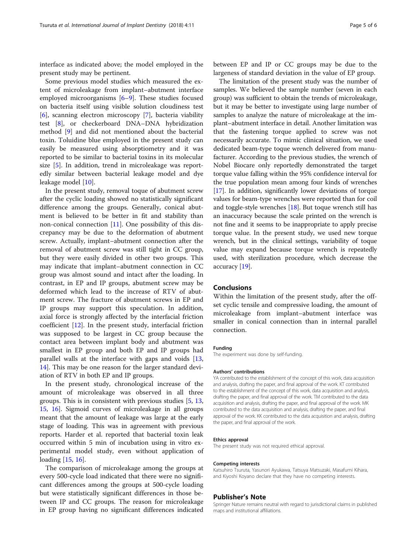interface as indicated above; the model employed in the present study may be pertinent.

Some previous model studies which measured the extent of microleakage from implant–abutment interface employed microorganisms [\[6](#page-5-0)–[9](#page-5-0)]. These studies focused on bacteria itself using visible solution cloudiness test [[6\]](#page-5-0), scanning electron microscopy [\[7](#page-5-0)], bacteria viability test [\[8](#page-5-0)], or checkerboard DNA–DNA hybridization method [[9\]](#page-5-0) and did not mentioned about the bacterial toxin. Toluidine blue employed in the present study can easily be measured using absorptiometry and it was reported to be similar to bacterial toxins in its molecular size [\[5](#page-5-0)]. In addition, trend in microleakage was reportedly similar between bacterial leakage model and dye leakage model [[10\]](#page-5-0).

In the present study, removal toque of abutment screw after the cyclic loading showed no statistically significant difference among the groups. Generally, conical abutment is believed to be better in fit and stability than non-conical connection [\[11\]](#page-5-0). One possibility of this discrepancy may be due to the deformation of abutment screw. Actually, implant–abutment connection after the removal of abutment screw was still tight in CC group, but they were easily divided in other two groups. This may indicate that implant–abutment connection in CC group was almost sound and intact after the loading. In contrast, in EP and IP groups, abutment screw may be deformed which lead to the increase of RTV of abutment screw. The fracture of abutment screws in EP and IP groups may support this speculation. In addition, axial force is strongly affected by the interfacial friction coefficient [[12\]](#page-5-0). In the present study, interfacial friction was supposed to be largest in CC group because the contact area between implant body and abutment was smallest in EP group and both EP and IP groups had parallel walls at the interface with gaps and voids [[13](#page-5-0), [14\]](#page-5-0). This may be one reason for the larger standard deviation of RTV in both EP and IP groups.

In the present study, chronological increase of the amount of microleakage was observed in all three groups. This is in consistent with previous studies [\[5](#page-5-0), [13](#page-5-0), [15,](#page-5-0) [16\]](#page-5-0). Sigmoid curves of microleakage in all groups meant that the amount of leakage was large at the early stage of loading. This was in agreement with previous reports. Harder et al. reported that bacterial toxin leak occurred within 5 min of incubation using in vitro experimental model study, even without application of loading [[15,](#page-5-0) [16](#page-5-0)].

The comparison of microleakage among the groups at every 500-cycle load indicated that there were no significant differences among the groups at 500-cycle loading but were statistically significant differences in those between IP and CC groups. The reason for microleakage in EP group having no significant differences indicated

between EP and IP or CC groups may be due to the largeness of standard deviation in the value of EP group.

The limitation of the present study was the number of samples. We believed the sample number (seven in each group) was sufficient to obtain the trends of microleakage, but it may be better to investigate using large number of samples to analyze the nature of microleakage at the implant–abutment interface in detail. Another limitation was that the fastening torque applied to screw was not necessarily accurate. To mimic clinical situation, we used dedicated beam-type toque wrench delivered from manufacturer. According to the previous studies, the wrench of Nobel Biocare only reportedly demonstrated the target torque value falling within the 95% confidence interval for the true population mean among four kinds of wrenches [[17](#page-5-0)]. In addition, significantly lower deviations of torque values for beam-type wrenches were reported than for coil and toggle-style wrenches [[18](#page-5-0)]. But toque wrench still has an inaccuracy because the scale printed on the wrench is not fine and it seems to be inappropriate to apply precise torque value. In the present study, we used new torque wrench, but in the clinical settings, variability of toque value may expand because torque wrench is repeatedly used, with sterilization procedure, which decrease the accuracy [\[19\]](#page-5-0).

#### Conclusions

Within the limitation of the present study, after the offset cyclic tensile and compressive loading, the amount of microleakage from implant–abutment interface was smaller in conical connection than in internal parallel connection.

#### Funding

The experiment was done by self-funding.

#### Authors' contributions

YA contributed to the establishment of the concept of this work, data acquisition and analysis, drafting the paper, and final approval of the work. KT contributed to the establishment of the concept of this work, data acquisition and analysis, drafting the paper, and final approval of the work. TM contributed to the data acquisition and analysis, drafting the paper, and final approval of the work. MK contributed to the data acquisition and analysis, drafting the paper, and final approval of the work. KK contributed to the data acquisition and analysis, drafting the paper, and final approval of the work.

#### Ethics approval

The present study was not required ethical approval.

#### Competing interests

Katsuhiro Tsuruta, Yasunori Ayukawa, Tatsuya Matsuzaki, Masafumi Kihara, and Kiyoshi Koyano declare that they have no competing interests.

#### Publisher's Note

Springer Nature remains neutral with regard to jurisdictional claims in published maps and institutional affiliations.